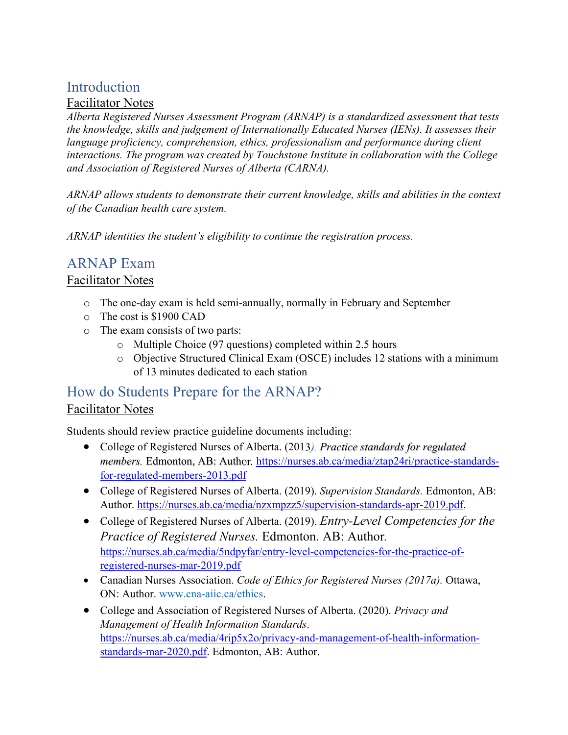# **Introduction**

#### Facilitator Notes

*Alberta Registered Nurses Assessment Program (ARNAP) is a standardized assessment that tests the knowledge, skills and judgement of Internationally Educated Nurses (IENs). It assesses their language proficiency, comprehension, ethics, professionalism and performance during client interactions. The program was created by Touchstone Institute in collaboration with the College and Association of Registered Nurses of Alberta (CARNA).* 

*ARNAP allows students to demonstrate their current knowledge, skills and abilities in the context of the Canadian health care system.* 

*ARNAP identities the student's eligibility to continue the registration process.* 

## ARNAP Exam

### Facilitator Notes

- o The one-day exam is held semi-annually, normally in February and September
- o The cost is \$1900 CAD
- o The exam consists of two parts:
	- o Multiple Choice (97 questions) completed within 2.5 hours
	- o Objective Structured Clinical Exam (OSCE) includes 12 stations with a minimum of 13 minutes dedicated to each station

### How do Students Prepare for the ARNAP? Facilitator Notes

Students should review practice guideline documents including:

- College of Registered Nurses of Alberta. (2013*). Practice standards for regulated members.* Edmonton, AB: Author*.* https://nurses.ab.ca/media/ztap24ri/practice-standardsfor-regulated-members-2013.pdf
- College of Registered Nurses of Alberta. (2019). *Supervision Standards.* Edmonton, AB: Author. https://nurses.ab.ca/media/nzxmpzz5/supervision-standards-apr-2019.pdf.
- College of Registered Nurses of Alberta. (2019). *Entry-Level Competencies for the Practice of Registered Nurses.* Edmonton. AB: Author*.* https://nurses.ab.ca/media/5ndpyfar/entry-level-competencies-for-the-practice-ofregistered-nurses-mar-2019.pdf
- Canadian Nurses Association. *Code of Ethics for Registered Nurses (2017a).* Ottawa, ON: Author. www.cna-aiic.ca/ethics.
- College and Association of Registered Nurses of Alberta. (2020). *Privacy and Management of Health Information Standards*. https://nurses.ab.ca/media/4rip5x2o/privacy-and-management-of-health-informationstandards-mar-2020.pdf. Edmonton, AB: Author.